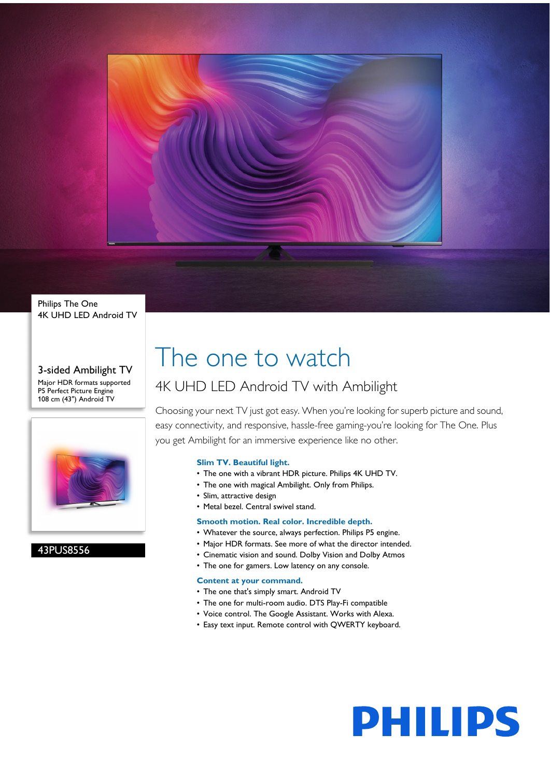

Philips The One 4K UHD LED Android TV

3-sided Ambilight TV Major HDR formats supported P5 Perfect Picture Engine 108 cm (43") Android TV



43PUS8556

## The one to watch

### 4K UHD LED Android TV with Ambilight

Choosing your next TV just got easy. When you're looking for superb picture and sound, easy connectivity, and responsive, hassle-free gaming-you're looking for The One. Plus you get Ambilight for an immersive experience like no other.

### **Slim TV. Beautiful light.**

- The one with a vibrant HDR picture. Philips 4K UHD TV.
- The one with magical Ambilight. Only from Philips.
- Slim, attractive design
- Metal bezel. Central swivel stand.

### **Smooth motion. Real color. Incredible depth.**

- Whatever the source, always perfection. Philips P5 engine.
- Major HDR formats. See more of what the director intended.
- Cinematic vision and sound. Dolby Vision and Dolby Atmos
- The one for gamers. Low latency on any console.

### **Content at your command.**

- The one that's simply smart. Android TV
- The one for multi-room audio. DTS Play-Fi compatible
- Voice control. The Google Assistant. Works with Alexa.
- Easy text input. Remote control with QWERTY keyboard.

# **PHILIPS**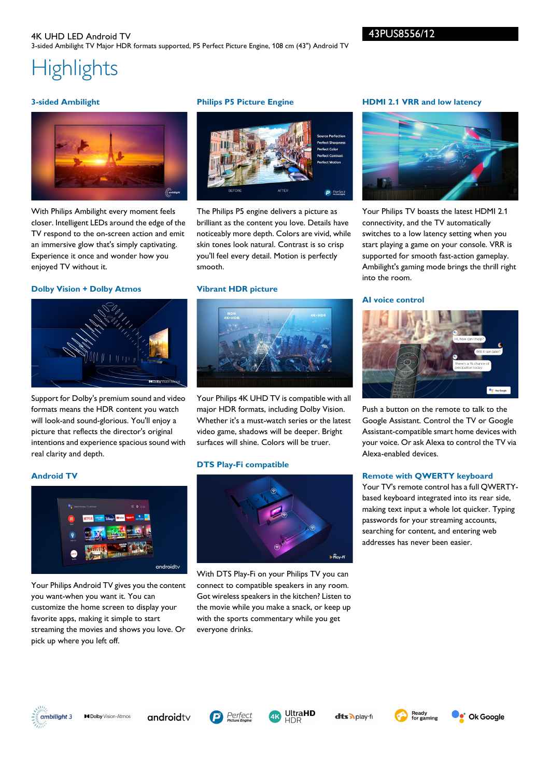### **Highlights**

### **3-sided Ambilight**



With Philips Ambilight every moment feels closer. Intelligent LEDs around the edge of the TV respond to the on-screen action and emit an immersive glow that's simply captivating. Experience it once and wonder how you enjoyed TV without it.

### **Dolby Vision + Dolby Atmos**



Support for Dolby's premium sound and video formats means the HDR content you watch will look-and sound-glorious. You'll enjoy a picture that reflects the director's original intentions and experience spacious sound with real clarity and depth.

Your Philips Android TV gives you the content

you want-when you want it. You can customize the home screen to display your favorite apps, making it simple to start streaming the movies and shows you love. Or

pick up where you left off.

### **Philips P5 Picture Engine**



The Philips P5 engine delivers a picture as brilliant as the content you love. Details have noticeably more depth. Colors are vivid, while skin tones look natural. Contrast is so crisp you'll feel every detail. Motion is perfectly smooth.

### **Vibrant HDR picture**



Your Philips 4K UHD TV is compatible with all major HDR formats, including Dolby Vision. Whether it's a must-watch series or the latest video game, shadows will be deeper. Bright surfaces will shine. Colors will be truer.

### **DTS Play-Fi compatible**



With DTS Play-Fi on your Philips TV you can connect to compatible speakers in any room. Got wireless speakers in the kitchen? Listen to the movie while you make a snack, or keep up with the sports commentary while you get everyone drinks.

### **HDMI 2.1 VRR and low latency**



Your Philips TV boasts the latest HDMI 2.1 connectivity, and the TV automatically switches to a low latency setting when you start playing a game on your console. VRR is supported for smooth fast-action gameplay. Ambilight's gaming mode brings the thrill right into the room.

### **AI voice control**



Push a button on the remote to talk to the Google Assistant. Control the TV or Google Assistant-compatible smart home devices with your voice. Or ask Alexa to control the TV via Alexa-enabled devices.

### **Remote with QWERTY keyboard**

Your TV's remote control has a full QWERTYbased keyboard integrated into its rear side, making text input a whole lot quicker. Typing passwords for your streaming accounts, searching for content, and entering web addresses has never been easier.



**Android TV**

**MDolby** Vision-Atmos

androidty

 $and\text{roidtv}$ 





dts Aplay-fr



 $\bullet$  Ok Google